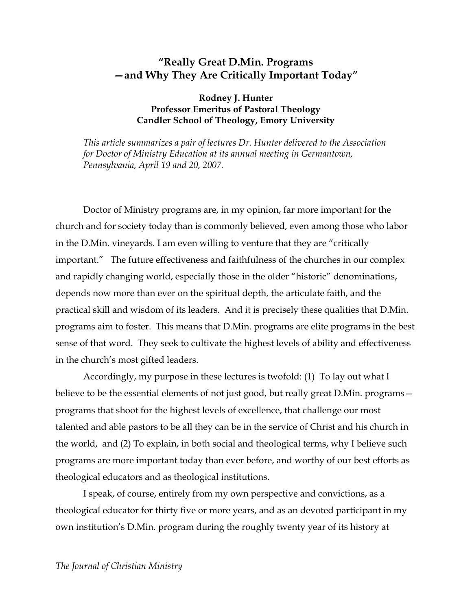# **"Really Great D.Min. Programs —and Why They Are Critically Important Today"**

### **Rodney J. Hunter Professor Emeritus of Pastoral Theology Candler School of Theology, Emory University**

*This article summarizes a pair of lectures Dr. Hunter delivered to the Association for Doctor of Ministry Education at its annual meeting in Germantown, Pennsylvania, April 19 and 20, 2007.*

Doctor of Ministry programs are, in my opinion, far more important for the church and for society today than is commonly believed, even among those who labor in the D.Min. vineyards. I am even willing to venture that they are "critically important." The future effectiveness and faithfulness of the churches in our complex and rapidly changing world, especially those in the older "historic" denominations, depends now more than ever on the spiritual depth, the articulate faith, and the practical skill and wisdom of its leaders. And it is precisely these qualities that D.Min. programs aim to foster. This means that D.Min. programs are elite programs in the best sense of that word. They seek to cultivate the highest levels of ability and effectiveness in the church's most gifted leaders.

Accordingly, my purpose in these lectures is twofold: (1) To lay out what I believe to be the essential elements of not just good, but really great D.Min. programs programs that shoot for the highest levels of excellence, that challenge our most talented and able pastors to be all they can be in the service of Christ and his church in the world, and (2) To explain, in both social and theological terms, why I believe such programs are more important today than ever before, and worthy of our best efforts as theological educators and as theological institutions.

I speak, of course, entirely from my own perspective and convictions, as a theological educator for thirty five or more years, and as an devoted participant in my own institution's D.Min. program during the roughly twenty year of its history at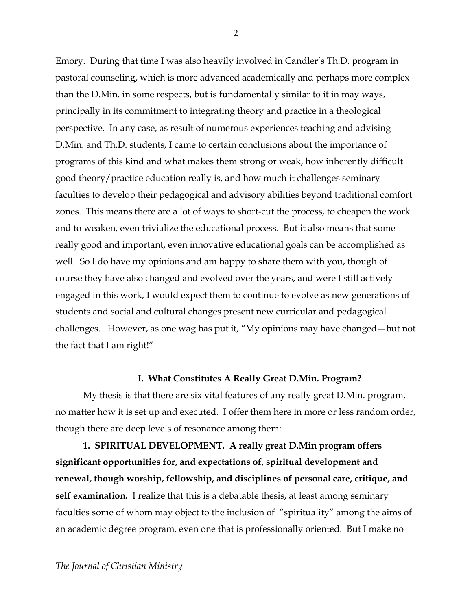Emory. During that time I was also heavily involved in Candler's Th.D. program in pastoral counseling, which is more advanced academically and perhaps more complex than the D.Min. in some respects, but is fundamentally similar to it in may ways, principally in its commitment to integrating theory and practice in a theological perspective. In any case, as result of numerous experiences teaching and advising D.Min. and Th.D. students, I came to certain conclusions about the importance of programs of this kind and what makes them strong or weak, how inherently difficult good theory/practice education really is, and how much it challenges seminary faculties to develop their pedagogical and advisory abilities beyond traditional comfort zones. This means there are a lot of ways to short-cut the process, to cheapen the work and to weaken, even trivialize the educational process. But it also means that some really good and important, even innovative educational goals can be accomplished as well. So I do have my opinions and am happy to share them with you, though of course they have also changed and evolved over the years, and were I still actively engaged in this work, I would expect them to continue to evolve as new generations of students and social and cultural changes present new curricular and pedagogical challenges. However, as one wag has put it, "My opinions may have changed—but not the fact that I am right!"

### **I. What Constitutes A Really Great D.Min. Program?**

My thesis is that there are six vital features of any really great D.Min. program, no matter how it is set up and executed. I offer them here in more or less random order, though there are deep levels of resonance among them:

**1. SPIRITUAL DEVELOPMENT. A really great D.Min program offers significant opportunities for, and expectations of, spiritual development and renewal, though worship, fellowship, and disciplines of personal care, critique, and self examination.** I realize that this is a debatable thesis, at least among seminary faculties some of whom may object to the inclusion of "spirituality" among the aims of an academic degree program, even one that is professionally oriented. But I make no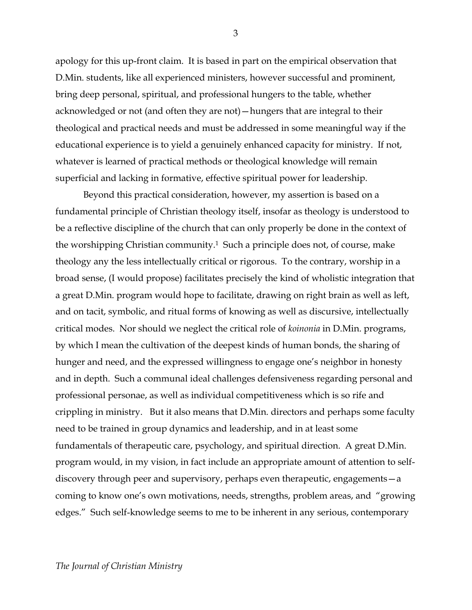apology for this up-front claim. It is based in part on the empirical observation that D.Min. students, like all experienced ministers, however successful and prominent, bring deep personal, spiritual, and professional hungers to the table, whether acknowledged or not (and often they are not)—hungers that are integral to their theological and practical needs and must be addressed in some meaningful way if the educational experience is to yield a genuinely enhanced capacity for ministry. If not, whatever is learned of practical methods or theological knowledge will remain superficial and lacking in formative, effective spiritual power for leadership.

Beyond this practical consideration, however, my assertion is based on a fundamental principle of Christian theology itself, insofar as theology is understood to be a reflective discipline of the church that can only properly be done in the context of the worshipping Christian community.<sup>1</sup> Such a principle does not, of course, make theology any the less intellectually critical or rigorous. To the contrary, worship in a broad sense, (I would propose) facilitates precisely the kind of wholistic integration that a great D.Min. program would hope to facilitate, drawing on right brain as well as left, and on tacit, symbolic, and ritual forms of knowing as well as discursive, intellectually critical modes. Nor should we neglect the critical role of *koinonia* in D.Min. programs, by which I mean the cultivation of the deepest kinds of human bonds, the sharing of hunger and need, and the expressed willingness to engage one's neighbor in honesty and in depth. Such a communal ideal challenges defensiveness regarding personal and professional personae, as well as individual competitiveness which is so rife and crippling in ministry. But it also means that D.Min. directors and perhaps some faculty need to be trained in group dynamics and leadership, and in at least some fundamentals of therapeutic care, psychology, and spiritual direction. A great D.Min. program would, in my vision, in fact include an appropriate amount of attention to selfdiscovery through peer and supervisory, perhaps even therapeutic, engagements—a coming to know one's own motivations, needs, strengths, problem areas, and "growing edges." Such self-knowledge seems to me to be inherent in any serious, contemporary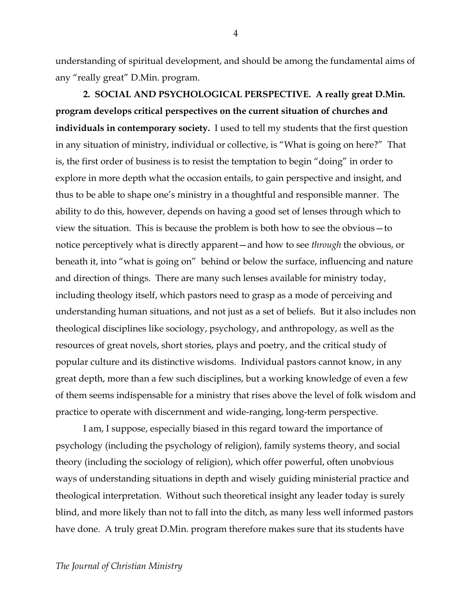understanding of spiritual development, and should be among the fundamental aims of any "really great" D.Min. program.

**2. SOCIAL AND PSYCHOLOGICAL PERSPECTIVE. A really great D.Min. program develops critical perspectives on the current situation of churches and individuals in contemporary society.** I used to tell my students that the first question in any situation of ministry, individual or collective, is "What is going on here?" That is, the first order of business is to resist the temptation to begin "doing" in order to explore in more depth what the occasion entails, to gain perspective and insight, and thus to be able to shape one's ministry in a thoughtful and responsible manner. The ability to do this, however, depends on having a good set of lenses through which to view the situation. This is because the problem is both how to see the obvious—to notice perceptively what is directly apparent—and how to see *through* the obvious, or beneath it, into "what is going on" behind or below the surface, influencing and nature and direction of things. There are many such lenses available for ministry today, including theology itself, which pastors need to grasp as a mode of perceiving and understanding human situations, and not just as a set of beliefs. But it also includes non theological disciplines like sociology, psychology, and anthropology, as well as the resources of great novels, short stories, plays and poetry, and the critical study of popular culture and its distinctive wisdoms. Individual pastors cannot know, in any great depth, more than a few such disciplines, but a working knowledge of even a few of them seems indispensable for a ministry that rises above the level of folk wisdom and practice to operate with discernment and wide-ranging, long-term perspective.

I am, I suppose, especially biased in this regard toward the importance of psychology (including the psychology of religion), family systems theory, and social theory (including the sociology of religion), which offer powerful, often unobvious ways of understanding situations in depth and wisely guiding ministerial practice and theological interpretation. Without such theoretical insight any leader today is surely blind, and more likely than not to fall into the ditch, as many less well informed pastors have done. A truly great D.Min. program therefore makes sure that its students have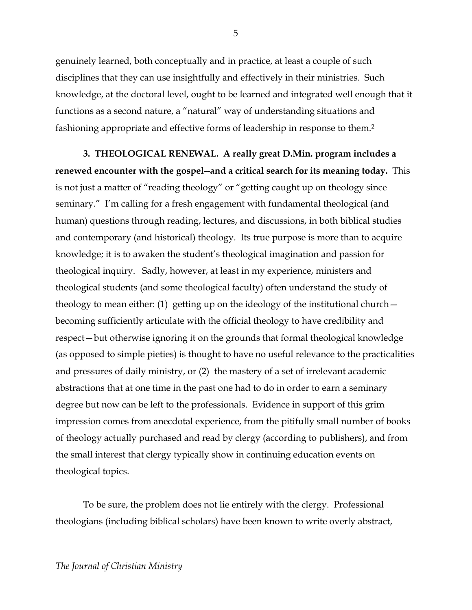genuinely learned, both conceptually and in practice, at least a couple of such disciplines that they can use insightfully and effectively in their ministries. Such knowledge, at the doctoral level, ought to be learned and integrated well enough that it functions as a second nature, a "natural" way of understanding situations and fashioning appropriate and effective forms of leadership in response to them.2

**3. THEOLOGICAL RENEWAL. A really great D.Min. program includes a renewed encounter with the gospel--and a critical search for its meaning today.** This is not just a matter of "reading theology" or "getting caught up on theology since seminary." I'm calling for a fresh engagement with fundamental theological (and human) questions through reading, lectures, and discussions, in both biblical studies and contemporary (and historical) theology. Its true purpose is more than to acquire knowledge; it is to awaken the student's theological imagination and passion for theological inquiry. Sadly, however, at least in my experience, ministers and theological students (and some theological faculty) often understand the study of theology to mean either: (1) getting up on the ideology of the institutional church becoming sufficiently articulate with the official theology to have credibility and respect—but otherwise ignoring it on the grounds that formal theological knowledge (as opposed to simple pieties) is thought to have no useful relevance to the practicalities and pressures of daily ministry, or (2) the mastery of a set of irrelevant academic abstractions that at one time in the past one had to do in order to earn a seminary degree but now can be left to the professionals. Evidence in support of this grim impression comes from anecdotal experience, from the pitifully small number of books of theology actually purchased and read by clergy (according to publishers), and from the small interest that clergy typically show in continuing education events on theological topics.

To be sure, the problem does not lie entirely with the clergy. Professional theologians (including biblical scholars) have been known to write overly abstract,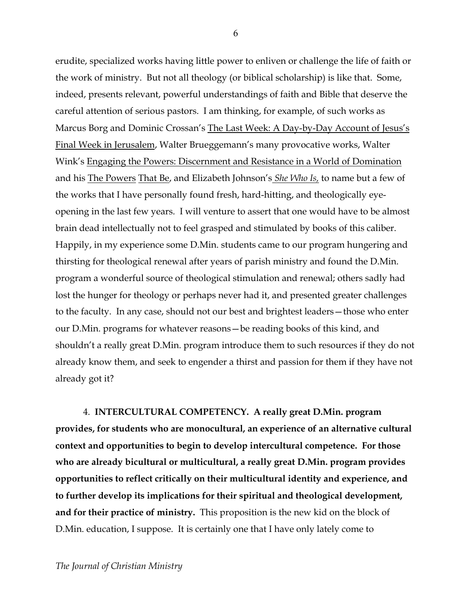erudite, specialized works having little power to enliven or challenge the life of faith or the work of ministry. But not all theology (or biblical scholarship) is like that. Some, indeed, presents relevant, powerful understandings of faith and Bible that deserve the careful attention of serious pastors. I am thinking, for example, of such works as Marcus Borg and Dominic Crossan's The Last Week: A Day-by-Day Account of Jesus's Final Week in Jerusalem, Walter Brueggemann's many provocative works, Walter Wink's Engaging the Powers: Discernment and Resistance in a World of Domination and his The Powers That Be, and Elizabeth Johnson's *She Who Is,* to name but a few of the works that I have personally found fresh, hard-hitting, and theologically eyeopening in the last few years. I will venture to assert that one would have to be almost brain dead intellectually not to feel grasped and stimulated by books of this caliber. Happily, in my experience some D.Min. students came to our program hungering and thirsting for theological renewal after years of parish ministry and found the D.Min. program a wonderful source of theological stimulation and renewal; others sadly had lost the hunger for theology or perhaps never had it, and presented greater challenges to the faculty. In any case, should not our best and brightest leaders—those who enter our D.Min. programs for whatever reasons—be reading books of this kind, and shouldn't a really great D.Min. program introduce them to such resources if they do not already know them, and seek to engender a thirst and passion for them if they have not already got it?

4. **INTERCULTURAL COMPETENCY. A really great D.Min. program provides, for students who are monocultural, an experience of an alternative cultural context and opportunities to begin to develop intercultural competence. For those who are already bicultural or multicultural, a really great D.Min. program provides opportunities to reflect critically on their multicultural identity and experience, and to further develop its implications for their spiritual and theological development, and for their practice of ministry.** This proposition is the new kid on the block of D.Min. education, I suppose. It is certainly one that I have only lately come to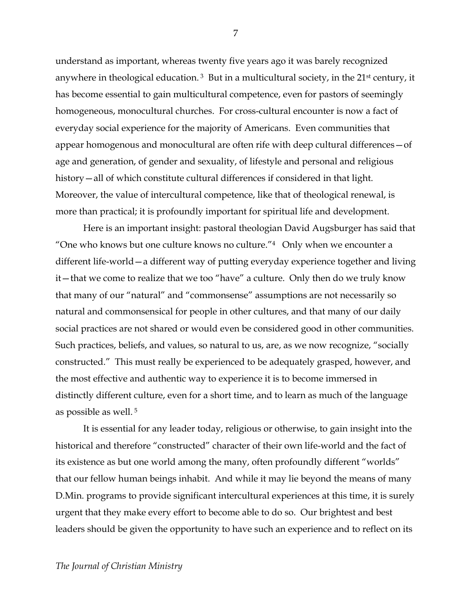understand as important, whereas twenty five years ago it was barely recognized anywhere in theological education.<sup>3</sup> But in a multicultural society, in the  $21<sup>st</sup>$  century, it has become essential to gain multicultural competence, even for pastors of seemingly homogeneous, monocultural churches. For cross-cultural encounter is now a fact of everyday social experience for the majority of Americans. Even communities that appear homogenous and monocultural are often rife with deep cultural differences—of age and generation, of gender and sexuality, of lifestyle and personal and religious history—all of which constitute cultural differences if considered in that light. Moreover, the value of intercultural competence, like that of theological renewal, is more than practical; it is profoundly important for spiritual life and development.

Here is an important insight: pastoral theologian David Augsburger has said that "One who knows but one culture knows no culture."4 Only when we encounter a different life-world—a different way of putting everyday experience together and living it—that we come to realize that we too "have" a culture. Only then do we truly know that many of our "natural" and "commonsense" assumptions are not necessarily so natural and commonsensical for people in other cultures, and that many of our daily social practices are not shared or would even be considered good in other communities. Such practices, beliefs, and values, so natural to us, are, as we now recognize, "socially constructed." This must really be experienced to be adequately grasped, however, and the most effective and authentic way to experience it is to become immersed in distinctly different culture, even for a short time, and to learn as much of the language as possible as well. 5

It is essential for any leader today, religious or otherwise, to gain insight into the historical and therefore "constructed" character of their own life-world and the fact of its existence as but one world among the many, often profoundly different "worlds" that our fellow human beings inhabit. And while it may lie beyond the means of many D.Min. programs to provide significant intercultural experiences at this time, it is surely urgent that they make every effort to become able to do so. Our brightest and best leaders should be given the opportunity to have such an experience and to reflect on its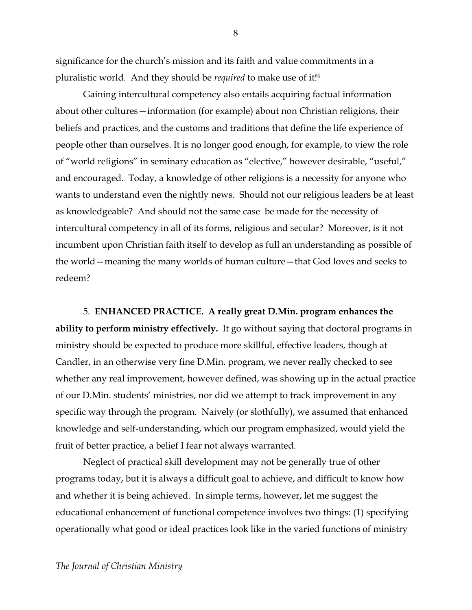significance for the church's mission and its faith and value commitments in a pluralistic world. And they should be *required* to make use of it!6

Gaining intercultural competency also entails acquiring factual information about other cultures—information (for example) about non Christian religions, their beliefs and practices, and the customs and traditions that define the life experience of people other than ourselves. It is no longer good enough, for example, to view the role of "world religions" in seminary education as "elective," however desirable, "useful," and encouraged. Today, a knowledge of other religions is a necessity for anyone who wants to understand even the nightly news. Should not our religious leaders be at least as knowledgeable? And should not the same case be made for the necessity of intercultural competency in all of its forms, religious and secular? Moreover, is it not incumbent upon Christian faith itself to develop as full an understanding as possible of the world—meaning the many worlds of human culture—that God loves and seeks to redeem?

5. **ENHANCED PRACTICE. A really great D.Min. program enhances the ability to perform ministry effectively.** It go without saying that doctoral programs in ministry should be expected to produce more skillful, effective leaders, though at Candler, in an otherwise very fine D.Min. program, we never really checked to see whether any real improvement, however defined, was showing up in the actual practice of our D.Min. students' ministries, nor did we attempt to track improvement in any specific way through the program. Naively (or slothfully), we assumed that enhanced knowledge and self-understanding, which our program emphasized, would yield the fruit of better practice, a belief I fear not always warranted.

Neglect of practical skill development may not be generally true of other programs today, but it is always a difficult goal to achieve, and difficult to know how and whether it is being achieved. In simple terms, however, let me suggest the educational enhancement of functional competence involves two things: (1) specifying operationally what good or ideal practices look like in the varied functions of ministry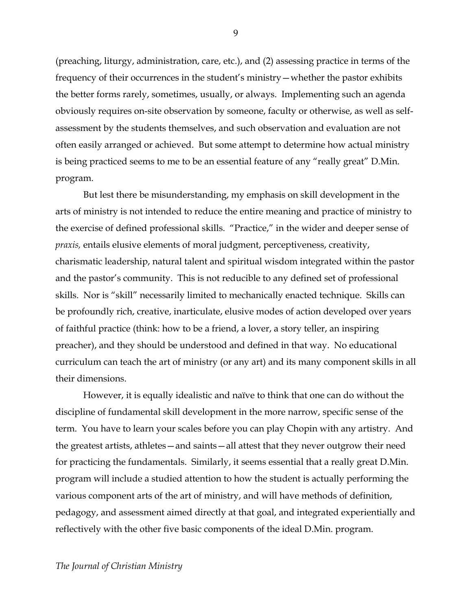(preaching, liturgy, administration, care, etc.), and (2) assessing practice in terms of the frequency of their occurrences in the student's ministry—whether the pastor exhibits the better forms rarely, sometimes, usually, or always. Implementing such an agenda obviously requires on-site observation by someone, faculty or otherwise, as well as selfassessment by the students themselves, and such observation and evaluation are not often easily arranged or achieved. But some attempt to determine how actual ministry is being practiced seems to me to be an essential feature of any "really great" D.Min. program.

But lest there be misunderstanding, my emphasis on skill development in the arts of ministry is not intended to reduce the entire meaning and practice of ministry to the exercise of defined professional skills. "Practice," in the wider and deeper sense of *praxis,* entails elusive elements of moral judgment, perceptiveness, creativity, charismatic leadership, natural talent and spiritual wisdom integrated within the pastor and the pastor's community. This is not reducible to any defined set of professional skills. Nor is "skill" necessarily limited to mechanically enacted technique. Skills can be profoundly rich, creative, inarticulate, elusive modes of action developed over years of faithful practice (think: how to be a friend, a lover, a story teller, an inspiring preacher), and they should be understood and defined in that way. No educational curriculum can teach the art of ministry (or any art) and its many component skills in all their dimensions.

However, it is equally idealistic and naïve to think that one can do without the discipline of fundamental skill development in the more narrow, specific sense of the term. You have to learn your scales before you can play Chopin with any artistry. And the greatest artists, athletes—and saints—all attest that they never outgrow their need for practicing the fundamentals. Similarly, it seems essential that a really great D.Min. program will include a studied attention to how the student is actually performing the various component arts of the art of ministry, and will have methods of definition, pedagogy, and assessment aimed directly at that goal, and integrated experientially and reflectively with the other five basic components of the ideal D.Min. program.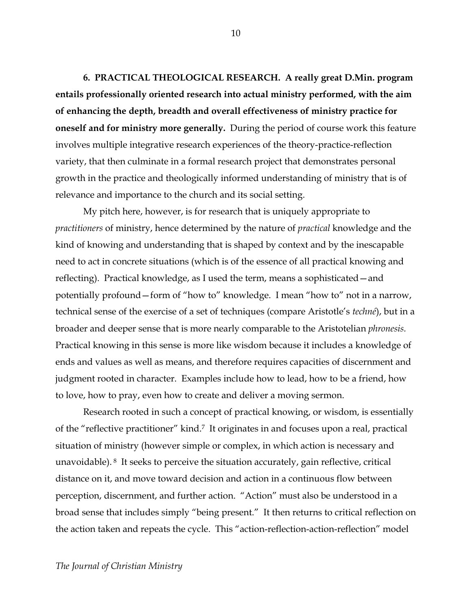**6. PRACTICAL THEOLOGICAL RESEARCH. A really great D.Min. program entails professionally oriented research into actual ministry performed, with the aim of enhancing the depth, breadth and overall effectiveness of ministry practice for oneself and for ministry more generally.** During the period of course work this feature involves multiple integrative research experiences of the theory-practice-reflection variety, that then culminate in a formal research project that demonstrates personal growth in the practice and theologically informed understanding of ministry that is of relevance and importance to the church and its social setting.

My pitch here, however, is for research that is uniquely appropriate to *practitioners* of ministry, hence determined by the nature of *practical* knowledge and the kind of knowing and understanding that is shaped by context and by the inescapable need to act in concrete situations (which is of the essence of all practical knowing and reflecting). Practical knowledge, as I used the term, means a sophisticated—and potentially profound—form of "how to" knowledge. I mean "how to" not in a narrow, technical sense of the exercise of a set of techniques (compare Aristotle's *techné*), but in a broader and deeper sense that is more nearly comparable to the Aristotelian *phronesis.*  Practical knowing in this sense is more like wisdom because it includes a knowledge of ends and values as well as means, and therefore requires capacities of discernment and judgment rooted in character. Examples include how to lead, how to be a friend, how to love, how to pray, even how to create and deliver a moving sermon.

Research rooted in such a concept of practical knowing, or wisdom, is essentially of the "reflective practitioner" kind.7 It originates in and focuses upon a real, practical situation of ministry (however simple or complex, in which action is necessary and unavoidable). 8 It seeks to perceive the situation accurately, gain reflective, critical distance on it, and move toward decision and action in a continuous flow between perception, discernment, and further action. "Action" must also be understood in a broad sense that includes simply "being present." It then returns to critical reflection on the action taken and repeats the cycle. This "action-reflection-action-reflection" model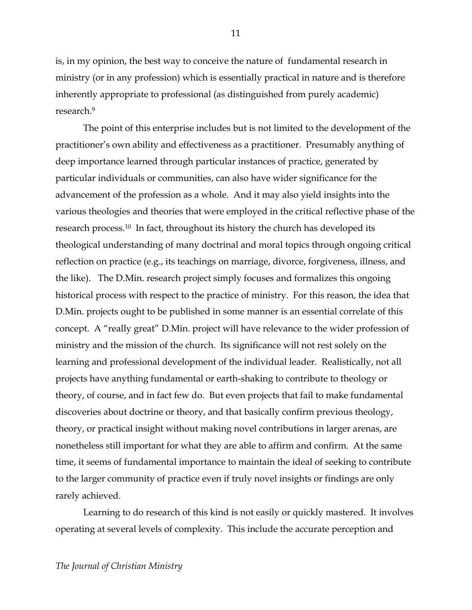is, in my opinion, the best way to conceive the nature of fundamental research in ministry (or in any profession) which is essentially practical in nature and is therefore inherently appropriate to professional (as distinguished from purely academic) research.9

The point of this enterprise includes but is not limited to the development of the practitioner's own ability and effectiveness as a practitioner. Presumably anything of deep importance learned through particular instances of practice, generated by particular individuals or communities, can also have wider significance for the advancement of the profession as a whole. And it may also yield insights into the various theologies and theories that were employed in the critical reflective phase of the research process.10 In fact, throughout its history the church has developed its theological understanding of many doctrinal and moral topics through ongoing critical reflection on practice (e.g., its teachings on marriage, divorce, forgiveness, illness, and the like). The D.Min. research project simply focuses and formalizes this ongoing historical process with respect to the practice of ministry. For this reason, the idea that D.Min. projects ought to be published in some manner is an essential correlate of this concept. A "really great" D.Min. project will have relevance to the wider profession of ministry and the mission of the church. Its significance will not rest solely on the learning and professional development of the individual leader. Realistically, not all projects have anything fundamental or earth-shaking to contribute to theology or theory, of course, and in fact few do. But even projects that fail to make fundamental discoveries about doctrine or theory, and that basically confirm previous theology, theory, or practical insight without making novel contributions in larger arenas, are nonetheless still important for what they are able to affirm and confirm. At the same time, it seems of fundamental importance to maintain the ideal of seeking to contribute to the larger community of practice even if truly novel insights or findings are only rarely achieved.

Learning to do research of this kind is not easily or quickly mastered. It involves operating at several levels of complexity. This include the accurate perception and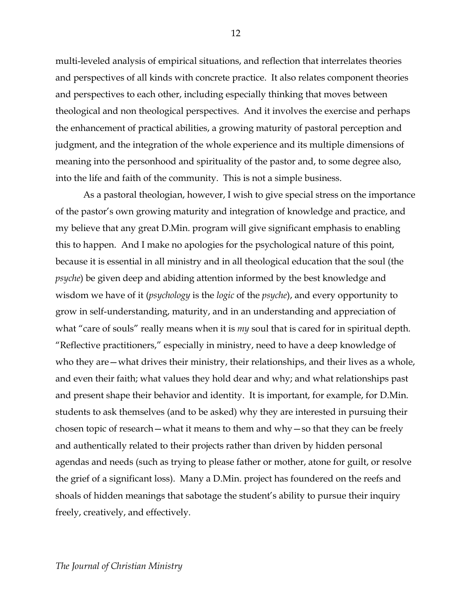multi-leveled analysis of empirical situations, and reflection that interrelates theories and perspectives of all kinds with concrete practice. It also relates component theories and perspectives to each other, including especially thinking that moves between theological and non theological perspectives. And it involves the exercise and perhaps the enhancement of practical abilities, a growing maturity of pastoral perception and judgment, and the integration of the whole experience and its multiple dimensions of meaning into the personhood and spirituality of the pastor and, to some degree also, into the life and faith of the community. This is not a simple business.

As a pastoral theologian, however, I wish to give special stress on the importance of the pastor's own growing maturity and integration of knowledge and practice, and my believe that any great D.Min. program will give significant emphasis to enabling this to happen. And I make no apologies for the psychological nature of this point, because it is essential in all ministry and in all theological education that the soul (the *psyche*) be given deep and abiding attention informed by the best knowledge and wisdom we have of it (*psychology* is the *logic* of the *psyche*), and every opportunity to grow in self-understanding, maturity, and in an understanding and appreciation of what "care of souls" really means when it is *my* soul that is cared for in spiritual depth. "Reflective practitioners," especially in ministry, need to have a deep knowledge of who they are—what drives their ministry, their relationships, and their lives as a whole, and even their faith; what values they hold dear and why; and what relationships past and present shape their behavior and identity. It is important, for example, for D.Min. students to ask themselves (and to be asked) why they are interested in pursuing their chosen topic of research—what it means to them and why—so that they can be freely and authentically related to their projects rather than driven by hidden personal agendas and needs (such as trying to please father or mother, atone for guilt, or resolve the grief of a significant loss). Many a D.Min. project has foundered on the reefs and shoals of hidden meanings that sabotage the student's ability to pursue their inquiry freely, creatively, and effectively.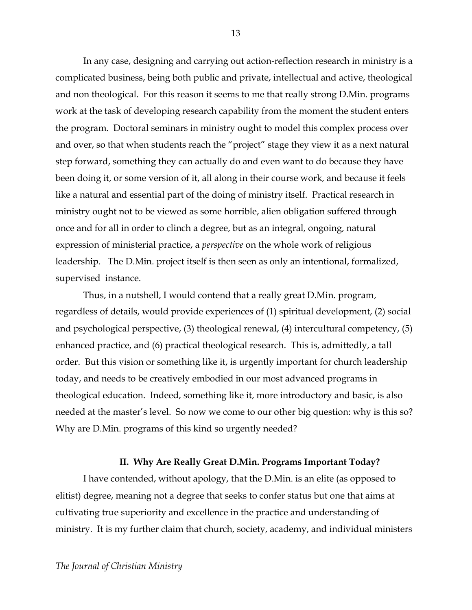In any case, designing and carrying out action-reflection research in ministry is a complicated business, being both public and private, intellectual and active, theological and non theological. For this reason it seems to me that really strong D.Min. programs work at the task of developing research capability from the moment the student enters the program. Doctoral seminars in ministry ought to model this complex process over and over, so that when students reach the "project" stage they view it as a next natural step forward, something they can actually do and even want to do because they have been doing it, or some version of it, all along in their course work, and because it feels like a natural and essential part of the doing of ministry itself. Practical research in ministry ought not to be viewed as some horrible, alien obligation suffered through once and for all in order to clinch a degree, but as an integral, ongoing, natural expression of ministerial practice, a *perspective* on the whole work of religious leadership. The D.Min. project itself is then seen as only an intentional, formalized, supervised instance.

Thus, in a nutshell, I would contend that a really great D.Min. program, regardless of details, would provide experiences of (1) spiritual development, (2) social and psychological perspective, (3) theological renewal, (4) intercultural competency, (5) enhanced practice, and (6) practical theological research. This is, admittedly, a tall order. But this vision or something like it, is urgently important for church leadership today, and needs to be creatively embodied in our most advanced programs in theological education. Indeed, something like it, more introductory and basic, is also needed at the master's level. So now we come to our other big question: why is this so? Why are D.Min. programs of this kind so urgently needed?

### **II. Why Are Really Great D.Min. Programs Important Today?**

I have contended, without apology, that the D.Min. is an elite (as opposed to elitist) degree, meaning not a degree that seeks to confer status but one that aims at cultivating true superiority and excellence in the practice and understanding of ministry. It is my further claim that church, society, academy, and individual ministers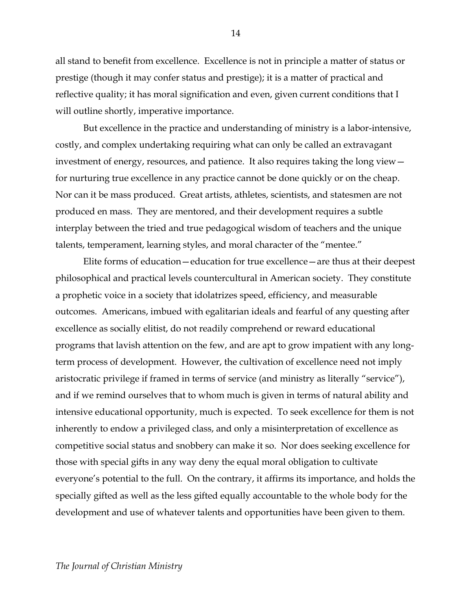all stand to benefit from excellence. Excellence is not in principle a matter of status or prestige (though it may confer status and prestige); it is a matter of practical and reflective quality; it has moral signification and even, given current conditions that I will outline shortly, imperative importance.

But excellence in the practice and understanding of ministry is a labor-intensive, costly, and complex undertaking requiring what can only be called an extravagant investment of energy, resources, and patience. It also requires taking the long view for nurturing true excellence in any practice cannot be done quickly or on the cheap. Nor can it be mass produced. Great artists, athletes, scientists, and statesmen are not produced en mass. They are mentored, and their development requires a subtle interplay between the tried and true pedagogical wisdom of teachers and the unique talents, temperament, learning styles, and moral character of the "mentee."

Elite forms of education—education for true excellence—are thus at their deepest philosophical and practical levels countercultural in American society. They constitute a prophetic voice in a society that idolatrizes speed, efficiency, and measurable outcomes. Americans, imbued with egalitarian ideals and fearful of any questing after excellence as socially elitist, do not readily comprehend or reward educational programs that lavish attention on the few, and are apt to grow impatient with any longterm process of development. However, the cultivation of excellence need not imply aristocratic privilege if framed in terms of service (and ministry as literally "service"), and if we remind ourselves that to whom much is given in terms of natural ability and intensive educational opportunity, much is expected. To seek excellence for them is not inherently to endow a privileged class, and only a misinterpretation of excellence as competitive social status and snobbery can make it so. Nor does seeking excellence for those with special gifts in any way deny the equal moral obligation to cultivate everyone's potential to the full. On the contrary, it affirms its importance, and holds the specially gifted as well as the less gifted equally accountable to the whole body for the development and use of whatever talents and opportunities have been given to them.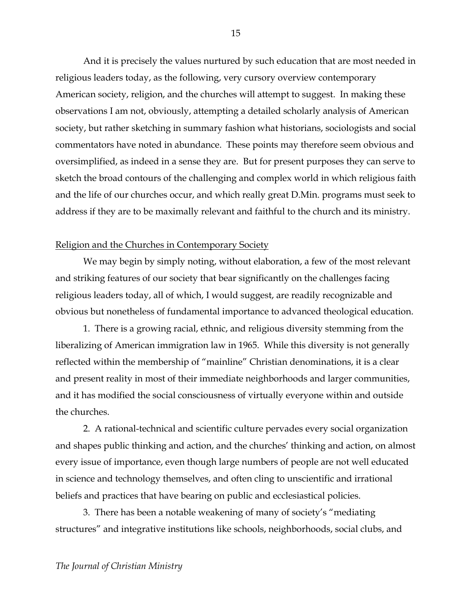And it is precisely the values nurtured by such education that are most needed in religious leaders today, as the following, very cursory overview contemporary American society, religion, and the churches will attempt to suggest. In making these observations I am not, obviously, attempting a detailed scholarly analysis of American society, but rather sketching in summary fashion what historians, sociologists and social commentators have noted in abundance. These points may therefore seem obvious and oversimplified, as indeed in a sense they are. But for present purposes they can serve to sketch the broad contours of the challenging and complex world in which religious faith and the life of our churches occur, and which really great D.Min. programs must seek to address if they are to be maximally relevant and faithful to the church and its ministry.

### Religion and the Churches in Contemporary Society

We may begin by simply noting, without elaboration, a few of the most relevant and striking features of our society that bear significantly on the challenges facing religious leaders today, all of which, I would suggest, are readily recognizable and obvious but nonetheless of fundamental importance to advanced theological education.

1. There is a growing racial, ethnic, and religious diversity stemming from the liberalizing of American immigration law in 1965. While this diversity is not generally reflected within the membership of "mainline" Christian denominations, it is a clear and present reality in most of their immediate neighborhoods and larger communities, and it has modified the social consciousness of virtually everyone within and outside the churches.

2. A rational-technical and scientific culture pervades every social organization and shapes public thinking and action, and the churches' thinking and action, on almost every issue of importance, even though large numbers of people are not well educated in science and technology themselves, and often cling to unscientific and irrational beliefs and practices that have bearing on public and ecclesiastical policies.

3. There has been a notable weakening of many of society's "mediating structures" and integrative institutions like schools, neighborhoods, social clubs, and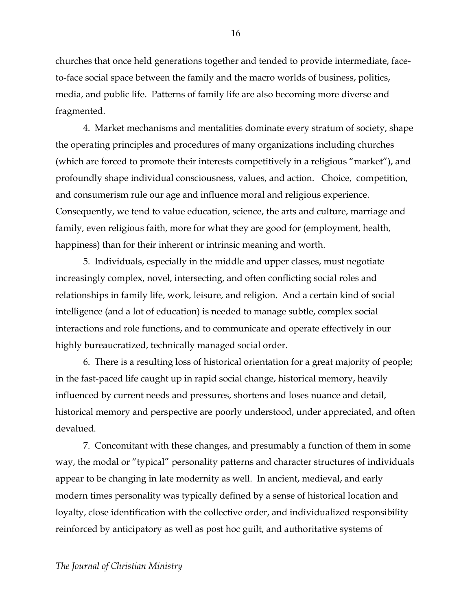churches that once held generations together and tended to provide intermediate, faceto-face social space between the family and the macro worlds of business, politics, media, and public life. Patterns of family life are also becoming more diverse and fragmented.

4. Market mechanisms and mentalities dominate every stratum of society, shape the operating principles and procedures of many organizations including churches (which are forced to promote their interests competitively in a religious "market"), and profoundly shape individual consciousness, values, and action. Choice, competition, and consumerism rule our age and influence moral and religious experience. Consequently, we tend to value education, science, the arts and culture, marriage and family, even religious faith, more for what they are good for (employment, health, happiness) than for their inherent or intrinsic meaning and worth.

5. Individuals, especially in the middle and upper classes, must negotiate increasingly complex, novel, intersecting, and often conflicting social roles and relationships in family life, work, leisure, and religion. And a certain kind of social intelligence (and a lot of education) is needed to manage subtle, complex social interactions and role functions, and to communicate and operate effectively in our highly bureaucratized, technically managed social order.

6. There is a resulting loss of historical orientation for a great majority of people; in the fast-paced life caught up in rapid social change, historical memory, heavily influenced by current needs and pressures, shortens and loses nuance and detail, historical memory and perspective are poorly understood, under appreciated, and often devalued.

7. Concomitant with these changes, and presumably a function of them in some way, the modal or "typical" personality patterns and character structures of individuals appear to be changing in late modernity as well. In ancient, medieval, and early modern times personality was typically defined by a sense of historical location and loyalty, close identification with the collective order, and individualized responsibility reinforced by anticipatory as well as post hoc guilt, and authoritative systems of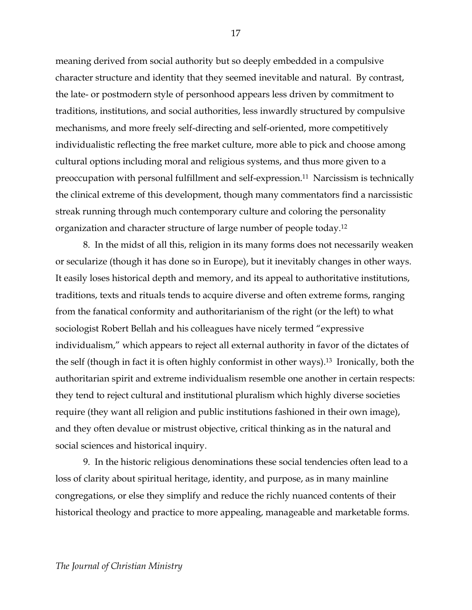meaning derived from social authority but so deeply embedded in a compulsive character structure and identity that they seemed inevitable and natural. By contrast, the late- or postmodern style of personhood appears less driven by commitment to traditions, institutions, and social authorities, less inwardly structured by compulsive mechanisms, and more freely self-directing and self-oriented, more competitively individualistic reflecting the free market culture, more able to pick and choose among cultural options including moral and religious systems, and thus more given to a preoccupation with personal fulfillment and self-expression.11 Narcissism is technically the clinical extreme of this development, though many commentators find a narcissistic streak running through much contemporary culture and coloring the personality organization and character structure of large number of people today. 12

8. In the midst of all this, religion in its many forms does not necessarily weaken or secularize (though it has done so in Europe), but it inevitably changes in other ways. It easily loses historical depth and memory, and its appeal to authoritative institutions, traditions, texts and rituals tends to acquire diverse and often extreme forms, ranging from the fanatical conformity and authoritarianism of the right (or the left) to what sociologist Robert Bellah and his colleagues have nicely termed "expressive individualism," which appears to reject all external authority in favor of the dictates of the self (though in fact it is often highly conformist in other ways).13 Ironically, both the authoritarian spirit and extreme individualism resemble one another in certain respects: they tend to reject cultural and institutional pluralism which highly diverse societies require (they want all religion and public institutions fashioned in their own image), and they often devalue or mistrust objective, critical thinking as in the natural and social sciences and historical inquiry.

9. In the historic religious denominations these social tendencies often lead to a loss of clarity about spiritual heritage, identity, and purpose, as in many mainline congregations, or else they simplify and reduce the richly nuanced contents of their historical theology and practice to more appealing, manageable and marketable forms.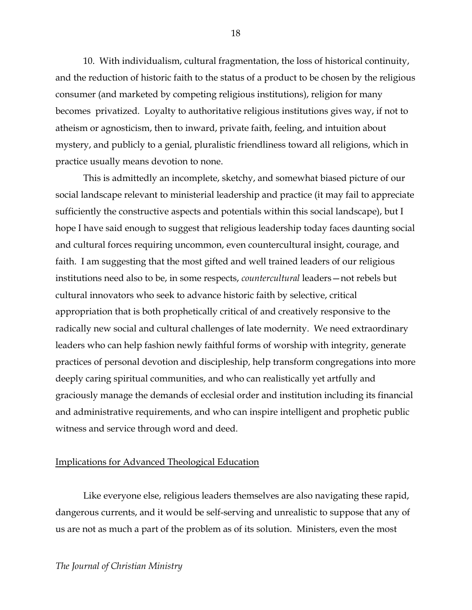10. With individualism, cultural fragmentation, the loss of historical continuity, and the reduction of historic faith to the status of a product to be chosen by the religious consumer (and marketed by competing religious institutions), religion for many becomes privatized. Loyalty to authoritative religious institutions gives way, if not to atheism or agnosticism, then to inward, private faith, feeling, and intuition about mystery, and publicly to a genial, pluralistic friendliness toward all religions, which in practice usually means devotion to none.

This is admittedly an incomplete, sketchy, and somewhat biased picture of our social landscape relevant to ministerial leadership and practice (it may fail to appreciate sufficiently the constructive aspects and potentials within this social landscape), but I hope I have said enough to suggest that religious leadership today faces daunting social and cultural forces requiring uncommon, even countercultural insight, courage, and faith. I am suggesting that the most gifted and well trained leaders of our religious institutions need also to be, in some respects, *countercultural* leaders—not rebels but cultural innovators who seek to advance historic faith by selective, critical appropriation that is both prophetically critical of and creatively responsive to the radically new social and cultural challenges of late modernity. We need extraordinary leaders who can help fashion newly faithful forms of worship with integrity, generate practices of personal devotion and discipleship, help transform congregations into more deeply caring spiritual communities, and who can realistically yet artfully and graciously manage the demands of ecclesial order and institution including its financial and administrative requirements, and who can inspire intelligent and prophetic public witness and service through word and deed.

### Implications for Advanced Theological Education

Like everyone else, religious leaders themselves are also navigating these rapid, dangerous currents, and it would be self-serving and unrealistic to suppose that any of us are not as much a part of the problem as of its solution. Ministers, even the most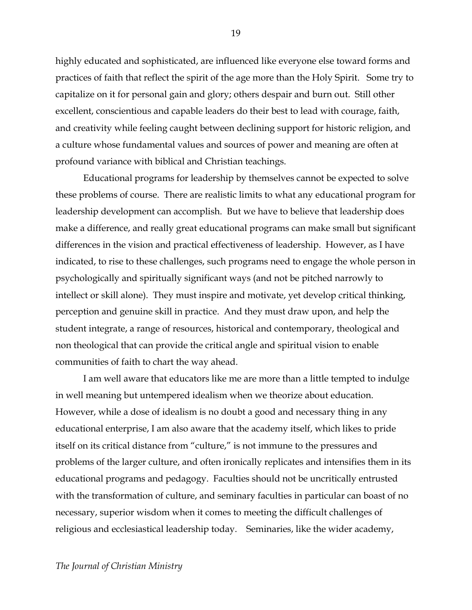highly educated and sophisticated, are influenced like everyone else toward forms and practices of faith that reflect the spirit of the age more than the Holy Spirit. Some try to capitalize on it for personal gain and glory; others despair and burn out. Still other excellent, conscientious and capable leaders do their best to lead with courage, faith, and creativity while feeling caught between declining support for historic religion, and a culture whose fundamental values and sources of power and meaning are often at profound variance with biblical and Christian teachings.

Educational programs for leadership by themselves cannot be expected to solve these problems of course. There are realistic limits to what any educational program for leadership development can accomplish. But we have to believe that leadership does make a difference, and really great educational programs can make small but significant differences in the vision and practical effectiveness of leadership. However, as I have indicated, to rise to these challenges, such programs need to engage the whole person in psychologically and spiritually significant ways (and not be pitched narrowly to intellect or skill alone). They must inspire and motivate, yet develop critical thinking, perception and genuine skill in practice. And they must draw upon, and help the student integrate, a range of resources, historical and contemporary, theological and non theological that can provide the critical angle and spiritual vision to enable communities of faith to chart the way ahead.

I am well aware that educators like me are more than a little tempted to indulge in well meaning but untempered idealism when we theorize about education. However, while a dose of idealism is no doubt a good and necessary thing in any educational enterprise, I am also aware that the academy itself, which likes to pride itself on its critical distance from "culture," is not immune to the pressures and problems of the larger culture, and often ironically replicates and intensifies them in its educational programs and pedagogy. Faculties should not be uncritically entrusted with the transformation of culture, and seminary faculties in particular can boast of no necessary, superior wisdom when it comes to meeting the difficult challenges of religious and ecclesiastical leadership today. Seminaries, like the wider academy,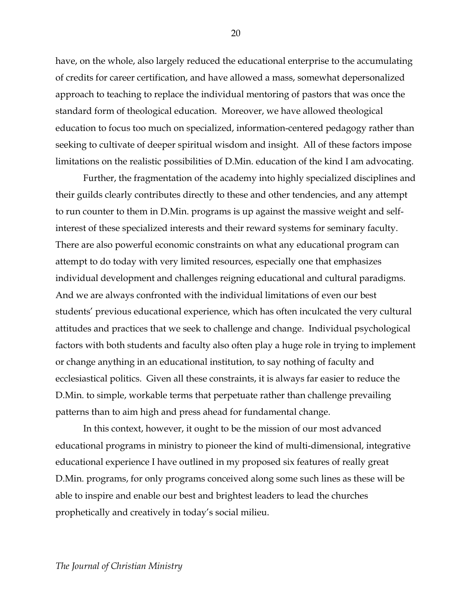have, on the whole, also largely reduced the educational enterprise to the accumulating of credits for career certification, and have allowed a mass, somewhat depersonalized approach to teaching to replace the individual mentoring of pastors that was once the standard form of theological education. Moreover, we have allowed theological education to focus too much on specialized, information-centered pedagogy rather than seeking to cultivate of deeper spiritual wisdom and insight. All of these factors impose limitations on the realistic possibilities of D.Min. education of the kind I am advocating.

Further, the fragmentation of the academy into highly specialized disciplines and their guilds clearly contributes directly to these and other tendencies, and any attempt to run counter to them in D.Min. programs is up against the massive weight and selfinterest of these specialized interests and their reward systems for seminary faculty. There are also powerful economic constraints on what any educational program can attempt to do today with very limited resources, especially one that emphasizes individual development and challenges reigning educational and cultural paradigms. And we are always confronted with the individual limitations of even our best students' previous educational experience, which has often inculcated the very cultural attitudes and practices that we seek to challenge and change. Individual psychological factors with both students and faculty also often play a huge role in trying to implement or change anything in an educational institution, to say nothing of faculty and ecclesiastical politics. Given all these constraints, it is always far easier to reduce the D.Min. to simple, workable terms that perpetuate rather than challenge prevailing patterns than to aim high and press ahead for fundamental change.

In this context, however, it ought to be the mission of our most advanced educational programs in ministry to pioneer the kind of multi-dimensional, integrative educational experience I have outlined in my proposed six features of really great D.Min. programs, for only programs conceived along some such lines as these will be able to inspire and enable our best and brightest leaders to lead the churches prophetically and creatively in today's social milieu.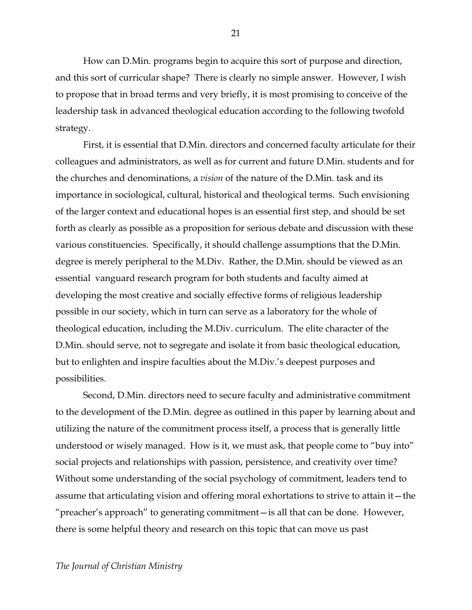How can D.Min. programs begin to acquire this sort of purpose and direction, and this sort of curricular shape? There is clearly no simple answer. However, I wish to propose that in broad terms and very briefly, it is most promising to conceive of the leadership task in advanced theological education according to the following twofold strategy.

First, it is essential that D.Min. directors and concerned faculty articulate for their colleagues and administrators, as well as for current and future D.Min. students and for the churches and denominations, a *vision* of the nature of the D.Min. task and its importance in sociological, cultural, historical and theological terms. Such envisioning of the larger context and educational hopes is an essential first step, and should be set forth as clearly as possible as a proposition for serious debate and discussion with these various constituencies. Specifically, it should challenge assumptions that the D.Min. degree is merely peripheral to the M.Div. Rather, the D.Min. should be viewed as an essential vanguard research program for both students and faculty aimed at developing the most creative and socially effective forms of religious leadership possible in our society, which in turn can serve as a laboratory for the whole of theological education, including the M.Div. curriculum. The elite character of the D.Min. should serve, not to segregate and isolate it from basic theological education, but to enlighten and inspire faculties about the M.Div.'s deepest purposes and possibilities.

Second, D.Min. directors need to secure faculty and administrative commitment to the development of the D.Min. degree as outlined in this paper by learning about and utilizing the nature of the commitment process itself, a process that is generally little understood or wisely managed. How is it, we must ask, that people come to "buy into" social projects and relationships with passion, persistence, and creativity over time? Without some understanding of the social psychology of commitment, leaders tend to assume that articulating vision and offering moral exhortations to strive to attain it—the "preacher's approach" to generating commitment—is all that can be done. However, there is some helpful theory and research on this topic that can move us past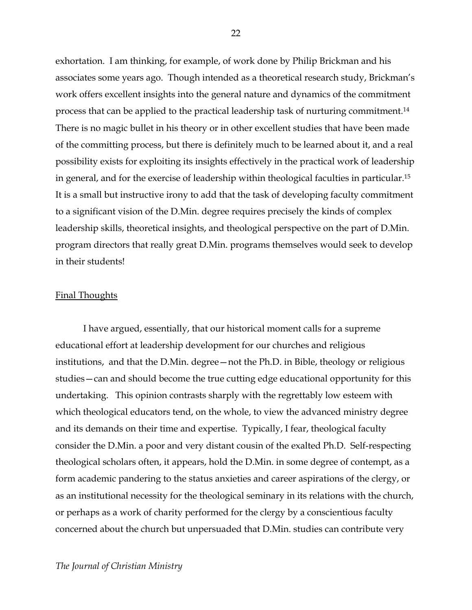exhortation. I am thinking, for example, of work done by Philip Brickman and his associates some years ago. Though intended as a theoretical research study, Brickman's work offers excellent insights into the general nature and dynamics of the commitment process that can be applied to the practical leadership task of nurturing commitment. 14 There is no magic bullet in his theory or in other excellent studies that have been made of the committing process, but there is definitely much to be learned about it, and a real possibility exists for exploiting its insights effectively in the practical work of leadership in general, and for the exercise of leadership within theological faculties in particular. 15 It is a small but instructive irony to add that the task of developing faculty commitment to a significant vision of the D.Min. degree requires precisely the kinds of complex leadership skills, theoretical insights, and theological perspective on the part of D.Min. program directors that really great D.Min. programs themselves would seek to develop in their students!

#### Final Thoughts

I have argued, essentially, that our historical moment calls for a supreme educational effort at leadership development for our churches and religious institutions, and that the D.Min. degree—not the Ph.D. in Bible, theology or religious studies—can and should become the true cutting edge educational opportunity for this undertaking. This opinion contrasts sharply with the regrettably low esteem with which theological educators tend, on the whole, to view the advanced ministry degree and its demands on their time and expertise. Typically, I fear, theological faculty consider the D.Min. a poor and very distant cousin of the exalted Ph.D. Self-respecting theological scholars often, it appears, hold the D.Min. in some degree of contempt, as a form academic pandering to the status anxieties and career aspirations of the clergy, or as an institutional necessity for the theological seminary in its relations with the church, or perhaps as a work of charity performed for the clergy by a conscientious faculty concerned about the church but unpersuaded that D.Min. studies can contribute very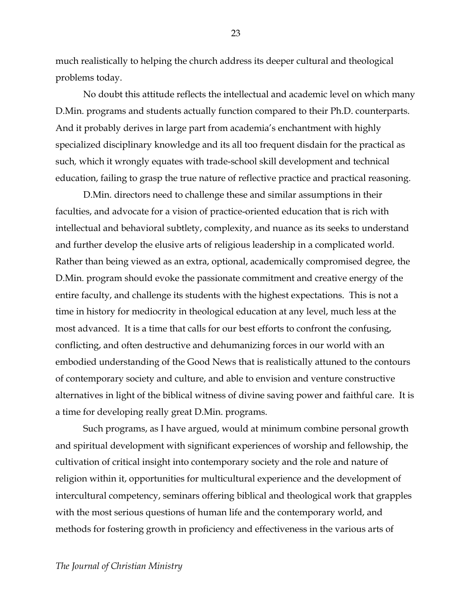much realistically to helping the church address its deeper cultural and theological problems today.

No doubt this attitude reflects the intellectual and academic level on which many D.Min. programs and students actually function compared to their Ph.D. counterparts. And it probably derives in large part from academia's enchantment with highly specialized disciplinary knowledge and its all too frequent disdain for the practical as such*,* which it wrongly equates with trade-school skill development and technical education, failing to grasp the true nature of reflective practice and practical reasoning.

D.Min. directors need to challenge these and similar assumptions in their faculties, and advocate for a vision of practice-oriented education that is rich with intellectual and behavioral subtlety, complexity, and nuance as its seeks to understand and further develop the elusive arts of religious leadership in a complicated world. Rather than being viewed as an extra, optional, academically compromised degree, the D.Min. program should evoke the passionate commitment and creative energy of the entire faculty, and challenge its students with the highest expectations. This is not a time in history for mediocrity in theological education at any level, much less at the most advanced. It is a time that calls for our best efforts to confront the confusing, conflicting, and often destructive and dehumanizing forces in our world with an embodied understanding of the Good News that is realistically attuned to the contours of contemporary society and culture, and able to envision and venture constructive alternatives in light of the biblical witness of divine saving power and faithful care. It is a time for developing really great D.Min. programs.

Such programs, as I have argued, would at minimum combine personal growth and spiritual development with significant experiences of worship and fellowship, the cultivation of critical insight into contemporary society and the role and nature of religion within it, opportunities for multicultural experience and the development of intercultural competency, seminars offering biblical and theological work that grapples with the most serious questions of human life and the contemporary world, and methods for fostering growth in proficiency and effectiveness in the various arts of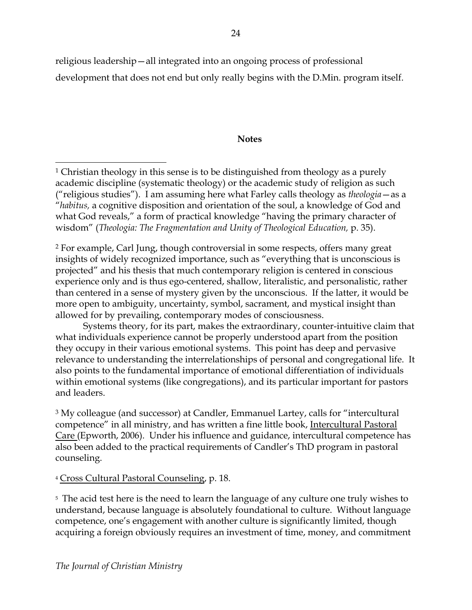religious leadership—all integrated into an ongoing process of professional development that does not end but only really begins with the D.Min. program itself.

## **Notes**

<sup>2</sup> For example, Carl Jung, though controversial in some respects, offers many great insights of widely recognized importance, such as "everything that is unconscious is projected" and his thesis that much contemporary religion is centered in conscious experience only and is thus ego-centered, shallow, literalistic, and personalistic, rather than centered in a sense of mystery given by the unconscious. If the latter, it would be more open to ambiguity, uncertainty, symbol, sacrament, and mystical insight than allowed for by prevailing, contemporary modes of consciousness.

Systems theory, for its part, makes the extraordinary, counter-intuitive claim that what individuals experience cannot be properly understood apart from the position they occupy in their various emotional systems. This point has deep and pervasive relevance to understanding the interrelationships of personal and congregational life. It also points to the fundamental importance of emotional differentiation of individuals within emotional systems (like congregations), and its particular important for pastors and leaders.

<sup>3</sup> My colleague (and successor) at Candler, Emmanuel Lartey, calls for "intercultural competence" in all ministry, and has written a fine little book, Intercultural Pastoral Care (Epworth, 2006). Under his influence and guidance, intercultural competence has also been added to the practical requirements of Candler's ThD program in pastoral counseling.

<sup>4</sup> Cross Cultural Pastoral Counseling, p. 18.

<sup>5</sup> The acid test here is the need to learn the language of any culture one truly wishes to understand, because language is absolutely foundational to culture. Without language competence, one's engagement with another culture is significantly limited, though acquiring a foreign obviously requires an investment of time, money, and commitment

 $\overline{a}$ <sup>1</sup> Christian theology in this sense is to be distinguished from theology as a purely academic discipline (systematic theology) or the academic study of religion as such ("religious studies"). I am assuming here what Farley calls theology as *theologia*—as a "*habitus,* a cognitive disposition and orientation of the soul, a knowledge of God and what God reveals," a form of practical knowledge "having the primary character of wisdom" (*Theologia: The Fragmentation and Unity of Theological Education,* p. 35).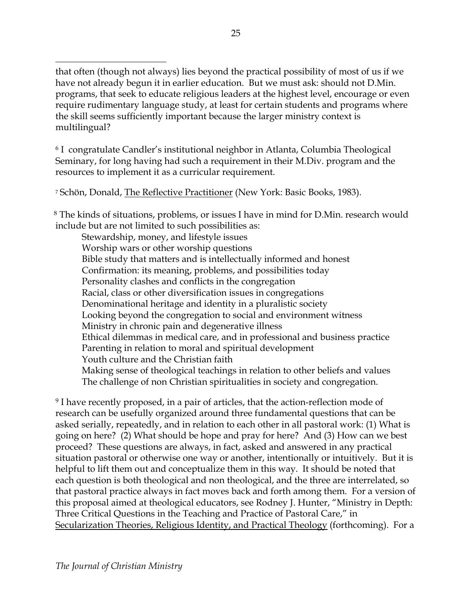$\overline{a}$ that often (though not always) lies beyond the practical possibility of most of us if we have not already begun it in earlier education. But we must ask: should not D.Min. programs, that seek to educate religious leaders at the highest level, encourage or even require rudimentary language study, at least for certain students and programs where the skill seems sufficiently important because the larger ministry context is multilingual?

<sup>6</sup> I congratulate Candler's institutional neighbor in Atlanta, Columbia Theological Seminary, for long having had such a requirement in their M.Div. program and the resources to implement it as a curricular requirement.

<sup>7</sup> Schön, Donald, The Reflective Practitioner (New York: Basic Books, 1983).

<sup>8</sup> The kinds of situations, problems, or issues I have in mind for D.Min. research would include but are not limited to such possibilities as:

Stewardship, money, and lifestyle issues Worship wars or other worship questions Bible study that matters and is intellectually informed and honest Confirmation: its meaning, problems, and possibilities today Personality clashes and conflicts in the congregation Racial, class or other diversification issues in congregations Denominational heritage and identity in a pluralistic society Looking beyond the congregation to social and environment witness Ministry in chronic pain and degenerative illness Ethical dilemmas in medical care, and in professional and business practice Parenting in relation to moral and spiritual development Youth culture and the Christian faith Making sense of theological teachings in relation to other beliefs and values The challenge of non Christian spiritualities in society and congregation.

9 I have recently proposed, in a pair of articles, that the action-reflection mode of research can be usefully organized around three fundamental questions that can be asked serially, repeatedly, and in relation to each other in all pastoral work: (1) What is going on here? (2) What should be hope and pray for here? And (3) How can we best proceed? These questions are always, in fact, asked and answered in any practical situation pastoral or otherwise one way or another, intentionally or intuitively. But it is helpful to lift them out and conceptualize them in this way. It should be noted that each question is both theological and non theological, and the three are interrelated, so that pastoral practice always in fact moves back and forth among them. For a version of this proposal aimed at theological educators, see Rodney J. Hunter, "Ministry in Depth: Three Critical Questions in the Teaching and Practice of Pastoral Care," in Secularization Theories, Religious Identity, and Practical Theology (forthcoming). For a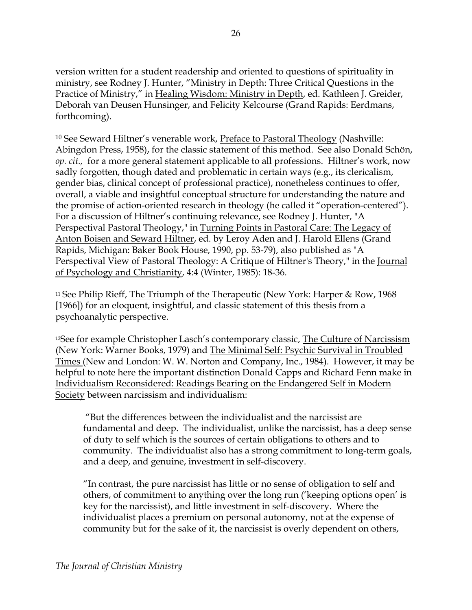$\overline{a}$ version written for a student readership and oriented to questions of spirituality in ministry, see Rodney J. Hunter, "Ministry in Depth: Three Critical Questions in the Practice of Ministry," in Healing Wisdom: Ministry in Depth, ed. Kathleen J. Greider, Deborah van Deusen Hunsinger, and Felicity Kelcourse (Grand Rapids: Eerdmans, forthcoming).

10 See Seward Hiltner's venerable work, Preface to Pastoral Theology (Nashville: Abingdon Press, 1958), for the classic statement of this method. See also Donald Schön, *op. cit.,* for a more general statement applicable to all professions. Hiltner's work, now sadly forgotten, though dated and problematic in certain ways (e.g., its clericalism, gender bias, clinical concept of professional practice), nonetheless continues to offer, overall, a viable and insightful conceptual structure for understanding the nature and the promise of action-oriented research in theology (he called it "operation-centered"). For a discussion of Hiltner's continuing relevance, see Rodney J. Hunter, "A Perspectival Pastoral Theology," in Turning Points in Pastoral Care: The Legacy of Anton Boisen and Seward Hiltner, ed. by Leroy Aden and J. Harold Ellens (Grand Rapids, Michigan: Baker Book House, 1990, pp. 53-79), also published as "A Perspectival View of Pastoral Theology: A Critique of Hiltner's Theory," in the Journal of Psychology and Christianity, 4:4 (Winter, 1985): 18-36.

<sup>11</sup> See Philip Rieff, The Triumph of the Therapeutic (New York: Harper & Row, 1968 [1966]) for an eloquent, insightful, and classic statement of this thesis from a psychoanalytic perspective.

<sup>12</sup>See for example Christopher Lasch's contemporary classic, The Culture of Narcissism (New York: Warner Books, 1979) and The Minimal Self: Psychic Survival in Troubled Times (New and London: W. W. Norton and Company, Inc., 1984). However, it may be helpful to note here the important distinction Donald Capps and Richard Fenn make in Individualism Reconsidered: Readings Bearing on the Endangered Self in Modern Society between narcissism and individualism:

 "But the differences between the individualist and the narcissist are fundamental and deep. The individualist, unlike the narcissist, has a deep sense of duty to self which is the sources of certain obligations to others and to community. The individualist also has a strong commitment to long-term goals, and a deep, and genuine, investment in self-discovery.

"In contrast, the pure narcissist has little or no sense of obligation to self and others, of commitment to anything over the long run ('keeping options open' is key for the narcissist), and little investment in self-discovery. Where the individualist places a premium on personal autonomy, not at the expense of community but for the sake of it, the narcissist is overly dependent on others,